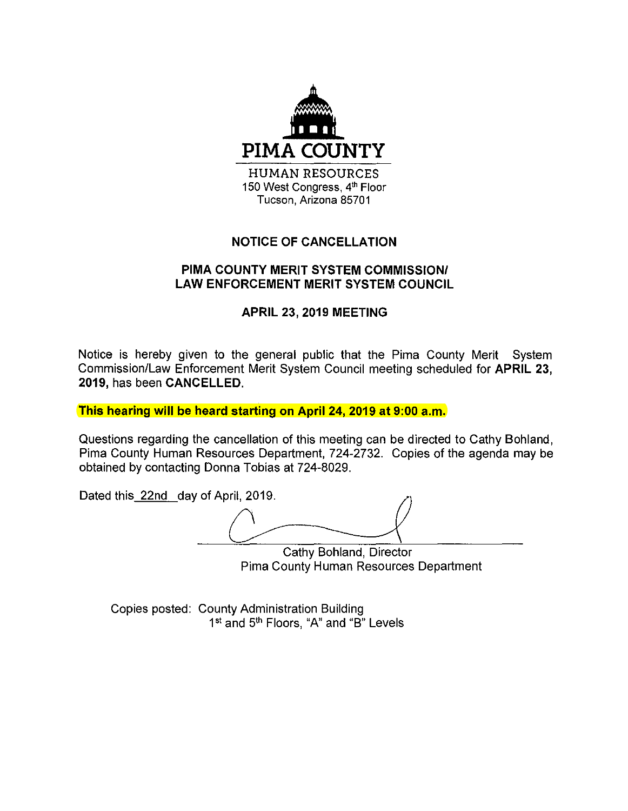

## **NOTICE OF CANCELLATION**

## **PIMA COUNTY MERIT SYSTEM COMMISSION/ LAW ENFORCEMENT MERIT SYSTEM COUNCIL**

## **APRIL 23, 2019 MEETING**

Notice is hereby given to the general public that the Pima County Merit System Commission/Law Enforcement Merit System Council meeting scheduled for **APRIL 23, 2019,** has been **CANCELLED.** 

**This hearing will be heard starting on April 24, 2019 at 9:00 a.m.** 

Questions regarding the cancellation of this meeting can be directed to Cathy Bohland, Pima County Human Resources Department, 724-2732. Copies of the agenda may be obtained by contacting Donna Tobias at 724-8029.

Dated this 22nd day of April, 2019.

Cathy Bohland, Director Pima County Human Resources Department

Copies posted: County Administration Building 1<sup>st</sup> and 5<sup>th</sup> Floors, "A" and "B" Levels